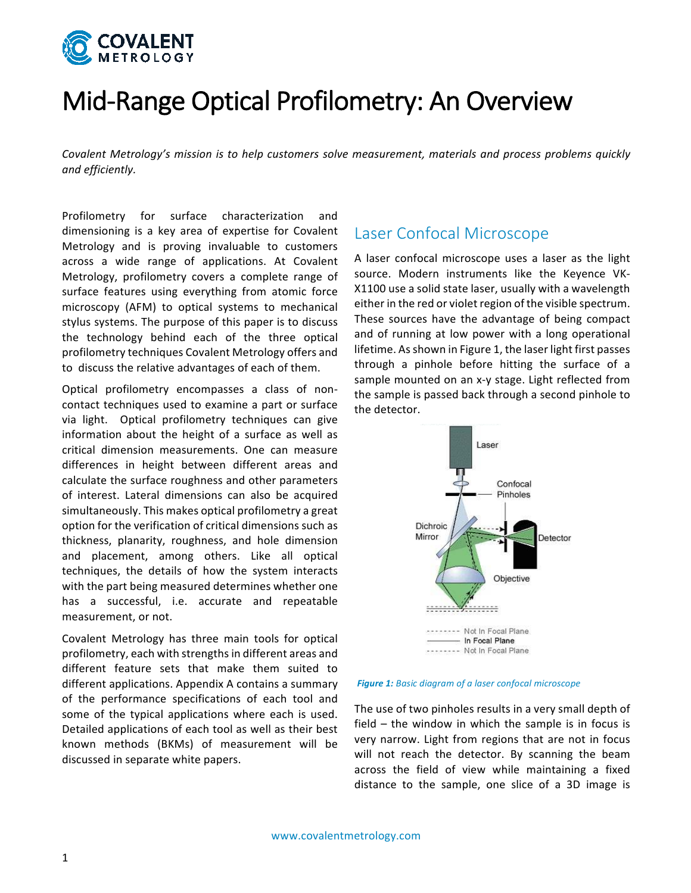

# Mid-Range Optical Profilometry: An Overview

Covalent Metrology's mission is to help customers solve measurement, materials and process problems quickly *and 
efficiently.*

Profilometry for surface characterization and dimensioning is a key area of expertise for Covalent Metrology and is proving invaluable to customers across a wide range of applications. At Covalent Metrology, profilometry covers a complete range of surface features using everything from atomic force microscopy (AFM) to optical systems to mechanical stylus systems. The purpose of this paper is to discuss the technology behind each of the three optical profilometry techniques Covalent Metrology offers and to discuss the relative advantages of each of them.

Optical profilometry encompasses a class of noncontact techniques used to examine a part or surface via light. Optical profilometry techniques can give information about the height of a surface as well as critical dimension measurements. One can measure differences in height between different areas and calculate the surface roughness and other parameters of interest. Lateral dimensions can also be acquired simultaneously. This makes optical profilometry a great option for the verification of critical dimensions such as thickness, planarity, roughness, and hole dimension and placement, among others. Like all optical techniques, the details of how the system interacts with the part being measured determines whether one has a successful, i.e. accurate and repeatable measurement, or not.

Covalent Metrology has three main tools for optical profilometry, each with strengths in different areas and different feature sets that make them suited to different applications. Appendix A contains a summary of the performance specifications of each tool and some of the typical applications where each is used. Detailed applications of each tool as well as their best known methods (BKMs) of measurement will be discussed in separate white papers.

#### Laser Confocal Microscope

A laser confocal microscope uses a laser as the light source. Modern instruments like the Keyence VK-X1100 use a solid state laser, usually with a wavelength either in the red or violet region of the visible spectrum. These sources have the advantage of being compact and of running at low power with a long operational lifetime. As shown in Figure 1, the laser light first passes through a pinhole before hitting the surface of a sample mounted on an x-y stage. Light reflected from the sample is passed back through a second pinhole to the detector.



**Figure 1:** Basic diagram of a laser confocal microscope

The use of two pinholes results in a very small depth of field  $-$  the window in which the sample is in focus is very narrow. Light from regions that are not in focus will not reach the detector. By scanning the beam across the field of view while maintaining a fixed distance to the sample, one slice of a 3D image is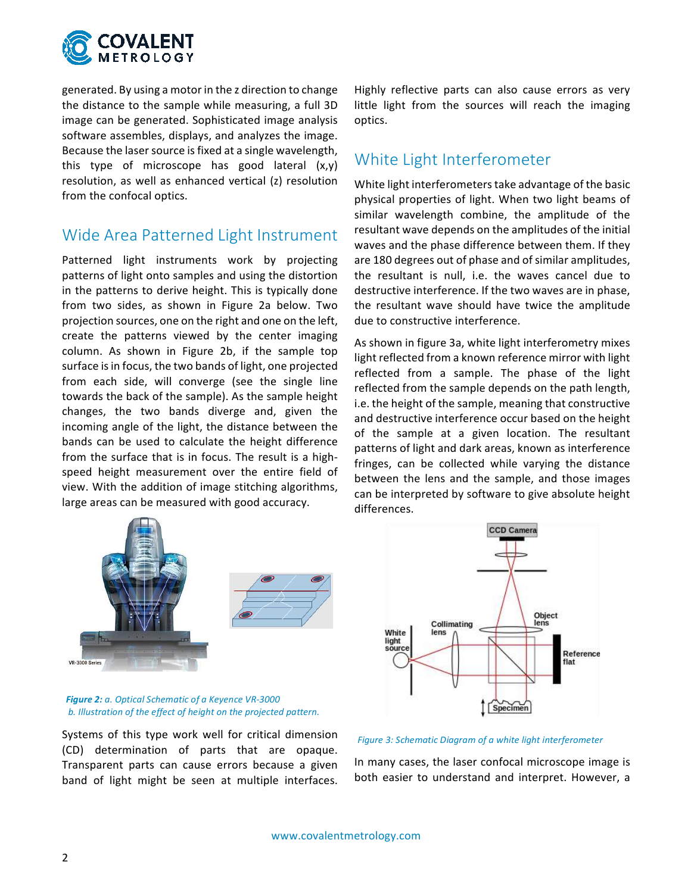

generated. By using a motor in the z direction to change the distance to the sample while measuring, a full 3D image can be generated. Sophisticated image analysis software assembles, displays, and analyzes the image. Because the laser source is fixed at a single wavelength, this type of microscope has good lateral  $(x,y)$ resolution, as well as enhanced vertical (z) resolution from the confocal optics.

#### Wide Area Patterned Light Instrument

Patterned light instruments work by projecting patterns of light onto samples and using the distortion in the patterns to derive height. This is typically done from two sides, as shown in Figure 2a below. Two projection sources, one on the right and one on the left, create the patterns viewed by the center imaging column. As shown in Figure 2b, if the sample top surface is in focus, the two bands of light, one projected from each side, will converge (see the single line towards the back of the sample). As the sample height changes, the two bands diverge and, given the incoming angle of the light, the distance between the bands can be used to calculate the height difference from the surface that is in focus. The result is a highspeed height measurement over the entire field of view. With the addition of image stitching algorithms, large areas can be measured with good accuracy.



**Figure 2:** a. Optical Schematic of a Keyence VR-3000 b. Illustration of the effect of height on the projected pattern.

Systems of this type work well for critical dimension (CD) determination of parts that are opaque. Transparent parts can cause errors because a given band of light might be seen at multiple interfaces. Highly reflective parts can also cause errors as very little light from the sources will reach the imaging optics.

### White Light Interferometer

White light interferometers take advantage of the basic physical properties of light. When two light beams of similar wavelength combine, the amplitude of the resultant wave depends on the amplitudes of the initial waves and the phase difference between them. If they are 180 degrees out of phase and of similar amplitudes, the resultant is null, i.e. the waves cancel due to destructive interference. If the two waves are in phase, the resultant wave should have twice the amplitude due to constructive interference.

As shown in figure 3a, white light interferometry mixes light reflected from a known reference mirror with light reflected from a sample. The phase of the light reflected from the sample depends on the path length, i.e. the height of the sample, meaning that constructive and destructive interference occur based on the height of the sample at a given location. The resultant patterns of light and dark areas, known as interference fringes, can be collected while varying the distance between the lens and the sample, and those images can be interpreted by software to give absolute height differences.



Figure 3: Schematic Diagram of a white light interferometer

In many cases, the laser confocal microscope image is both easier to understand and interpret. However, a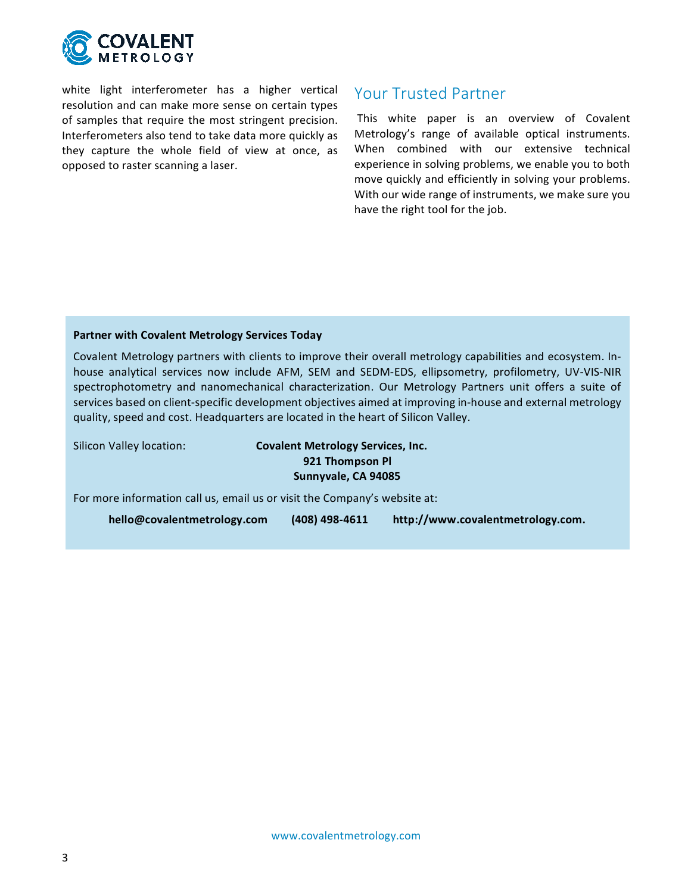

white light interferometer has a higher vertical resolution and can make more sense on certain types of samples that require the most stringent precision. Interferometers also tend to take data more quickly as they capture the whole field of view at once, as opposed to raster scanning a laser.

#### Your Trusted Partner

This white paper is an overview of Covalent Metrology's range of available optical instruments. When combined with our extensive technical experience in solving problems, we enable you to both move quickly and efficiently in solving your problems. With our wide range of instruments, we make sure you have the right tool for the job.

#### **Partner with Covalent Metrology Services Today**

Covalent Metrology partners with clients to improve their overall metrology capabilities and ecosystem. Inhouse analytical services now include AFM, SEM and SEDM-EDS, ellipsometry, profilometry, UV-VIS-NIR spectrophotometry and nanomechanical characterization. Our Metrology Partners unit offers a suite of services based on client-specific development objectives aimed at improving in-house and external metrology quality, speed and cost. Headquarters are located in the heart of Silicon Valley.

Silicon Valley location: **Covalent Metrology Services, Inc. 921 Thompson Pl** Sunnyvale, CA 94085

For more information call us, email us or visit the Company's website at:

**hello@covalentmetrology.com (408) 
498-‐4611 http://www.covalentmetrology.com.**